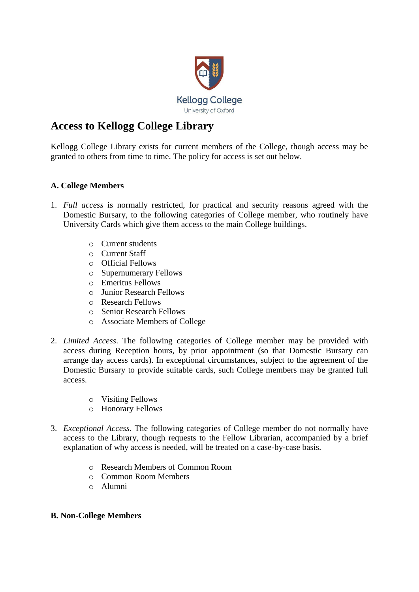

## **Access to Kellogg College Library**

Kellogg College Library exists for current members of the College, though access may be granted to others from time to time. The policy for access is set out below.

## **A. College Members**

- 1. *Full access* is normally restricted, for practical and security reasons agreed with the Domestic Bursary, to the following categories of College member, who routinely have University Cards which give them access to the main College buildings.
	- o Current students
	- o Current Staff
	- o Official Fellows
	- o Supernumerary Fellows
	- o Emeritus Fellows
	- o Junior Research Fellows
	- o Research Fellows
	- o Senior Research Fellows
	- o Associate Members of College
- 2. *Limited Access*. The following categories of College member may be provided with access during Reception hours, by prior appointment (so that Domestic Bursary can arrange day access cards). In exceptional circumstances, subject to the agreement of the Domestic Bursary to provide suitable cards, such College members may be granted full access.
	- o Visiting Fellows
	- o Honorary Fellows
- 3. *Exceptional Access*. The following categories of College member do not normally have access to the Library, though requests to the Fellow Librarian, accompanied by a brief explanation of why access is needed, will be treated on a case-by-case basis.
	- o Research Members of Common Room
	- o Common Room Members
	- o Alumni

## **B. Non-College Members**